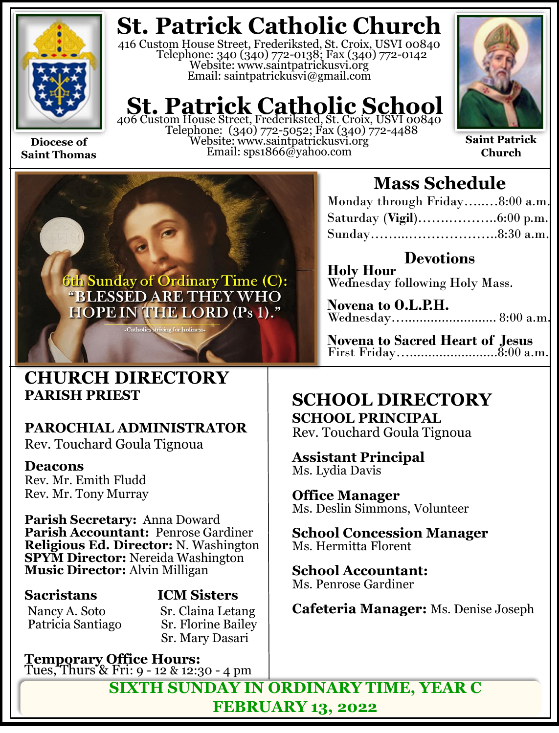

**Saint Thomas**

**St. Patrick Catholic Church**

416 Custom House Street, Frederiksted, St. Croix, USVI 00840 Telephone: 340 (340) 772-0138; Fax (340) 772-0142 Website: www.saintpatrickusvi.org Email: saintpatrickusvi@gmail.com

## **St. Patrick Catholic School**<br>406 Custom House Street, Frederiksted, St. Croix, USVI 00840

Telephone: (340) 772-5052; Fax (340) 772-4488 Website: www.saintpatrickusvi.org Email: sps1866@yahoo.com



**Saint Patrick Church**



## **CHURCH DIRECTORY PARISH PRIEST**

## **PAROCHIAL ADMINISTRATOR**

Rev. Touchard Goula Tignoua

### **Deacons**

Rev. Mr. Emith Fludd Rev. Mr. Tony Murray

**Parish Secretary:** Anna Doward **Parish Accountant:** Penrose Gardiner **Religious Ed. Director:** N. Washington **SPYM Director:** Nereida Washington **Music Director:** Alvin Milligan

Nancy A. Soto Sr. Claina Letang<br>Patricia Santiago Sr. Florine Bailey Patricia Santiago

**Sacristans ICM Sisters**

Sr. Mary Dasari

**Temporary Office Hours:**  Tues, Thurs & Fri: 9 - 12 & 12:30 - 4 pm

## **Mass Schedule**

| Monday through Friday8:00 a.m. |  |
|--------------------------------|--|
|                                |  |
| Sunday8:30 a.m.                |  |

**Devotions Holy Hour**  Wednesday following Holy Mass.

**Novena to O.L.P.H.** Wednesday…......................... 8:00 a.m.

**Novena to Sacred Heart of Jesus** First Friday…........................8:00 a.m.

## **SCHOOL DIRECTORY**

**SCHOOL PRINCIPAL** Rev. Touchard Goula Tignoua

**Assistant Principal** Ms. Lydia Davis

**Office Manager** Ms. Deslin Simmons, Volunteer

**School Concession Manager** Ms. Hermitta Florent

**School Accountant:**  Ms. Penrose Gardiner

**Cafeteria Manager:** Ms. Denise Joseph

**SIXTH SUNDAY IN ORDINARY TIME, YEAR C FEBRUARY 13, 2022**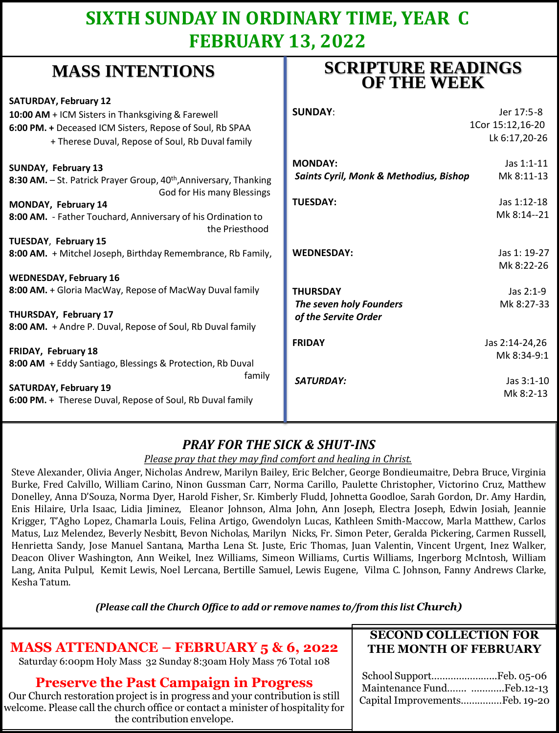## **SIXTH SUNDAY IN ORDINARY TIME, YEAR C FEBRUARY 13, 2022**

## **MASS INTENTIONS**

| when hit had the control                                                                                    | <b>OF THE WEEK</b>                     |                  |
|-------------------------------------------------------------------------------------------------------------|----------------------------------------|------------------|
| <b>SATURDAY, February 12</b>                                                                                |                                        |                  |
| 10:00 AM + ICM Sisters in Thanksgiving & Farewell                                                           | <b>SUNDAY:</b>                         | Jer 17:5-8       |
| 6:00 PM. + Deceased ICM Sisters, Repose of Soul, Rb SPAA                                                    |                                        | 1Cor 15:12,16-20 |
| + Therese Duval, Repose of Soul, Rb Duval family                                                            |                                        | Lk 6:17,20-26    |
| SUNDAY, February 13                                                                                         | <b>MONDAY:</b>                         | Jas 1:1-11       |
| 8:30 AM. - St. Patrick Prayer Group, 40 <sup>th</sup> , Anniversary, Thanking<br>God for His many Blessings | Saints Cyril, Monk & Methodius, Bishop | Mk 8:11-13       |
| MONDAY, February 14                                                                                         | <b>TUESDAY:</b>                        | Jas 1:12-18      |
| 8:00 AM. - Father Touchard, Anniversary of his Ordination to<br>the Priesthood                              |                                        | Mk 8:14--21      |
| TUESDAY, February 15                                                                                        |                                        |                  |
| 8:00 AM. + Mitchel Joseph, Birthday Remembrance, Rb Family,                                                 | <b>WEDNESDAY:</b>                      | Jas 1: 19-27     |
|                                                                                                             |                                        | Mk 8:22-26       |
| <b>WEDNESDAY, February 16</b>                                                                               |                                        |                  |
| 8:00 AM. + Gloria MacWay, Repose of MacWay Duval family                                                     | <b>THURSDAY</b>                        | Jas 2:1-9        |
|                                                                                                             | The seven holy Founders                | Mk 8:27-33       |
| THURSDAY, February 17<br>8:00 AM. + Andre P. Duval, Repose of Soul, Rb Duval family                         | of the Servite Order                   |                  |
|                                                                                                             | <b>FRIDAY</b>                          | Jas 2:14-24,26   |
| FRIDAY, February 18                                                                                         |                                        | Mk 8:34-9:1      |
| 8:00 AM + Eddy Santiago, Blessings & Protection, Rb Duval                                                   |                                        |                  |
| family                                                                                                      | <b>SATURDAY:</b>                       | Jas 3:1-10       |
| <b>SATURDAY, February 19</b><br>6:00 PM. + Therese Duval, Repose of Soul, Rb Duval family                   |                                        | Mk 8:2-13        |
|                                                                                                             |                                        |                  |

### *PRAY FOR THE SICK & SHUT-INS*

*Please pray that they may find comfort and healing in Christ.*

Steve Alexander, Olivia Anger, Nicholas Andrew, Marilyn Bailey, Eric Belcher, George Bondieumaitre, Debra Bruce, Virginia Burke, Fred Calvillo, William Carino, Ninon Gussman Carr, Norma Carillo, Paulette Christopher, Victorino Cruz, Matthew Donelley, Anna D'Souza, Norma Dyer, Harold Fisher, Sr. Kimberly Fludd, Johnetta Goodloe, Sarah Gordon, Dr. Amy Hardin, Enis Hilaire, Urla Isaac, Lidia Jiminez, Eleanor Johnson, Alma John, Ann Joseph, Electra Joseph, Edwin Josiah, Jeannie Krigger, T'Agho Lopez, Chamarla Louis, Felina Artigo, Gwendolyn Lucas, Kathleen Smith-Maccow, Marla Matthew, Carlos Matus, Luz Melendez, Beverly Nesbitt, Bevon Nicholas, Marilyn Nicks, Fr. Simon Peter, Geralda Pickering, Carmen Russell, Henrietta Sandy, Jose Manuel Santana, Martha Lena St. Juste, Eric Thomas, Juan Valentin, Vincent Urgent, Inez Walker, Deacon Oliver Washington, Ann Weikel, Inez Williams, Simeon Williams, Curtis Williams, Ingerborg McIntosh, William Lang, Anita Pulpul, Kemit Lewis, Noel Lercana, Bertille Samuel, Lewis Eugene, Vilma C. Johnson, Fanny Andrews Clarke, Kesha Tatum.

*(Please call the Church Office to add or remove names to/from this list Church)*

### **MASS ATTENDANCE – FEBRUARY 5 & 6, 2022**

Saturday 6:00pm Holy Mass 32 Sunday 8:30am Holy Mass 76 Total 108

#### **Preserve the Past Campaign in Progress**

Our Church restoration project is in progress and your contribution is still welcome. Please call the church office or contact a minister of hospitality for the contribution envelope.

#### **SECOND COLLECTION FOR THE MONTH OF FEBRUARY**

**SCRIPTURE READINGS** 

| Maintenance Fund Feb.12-13     |  |
|--------------------------------|--|
| Capital ImprovementsFeb. 19-20 |  |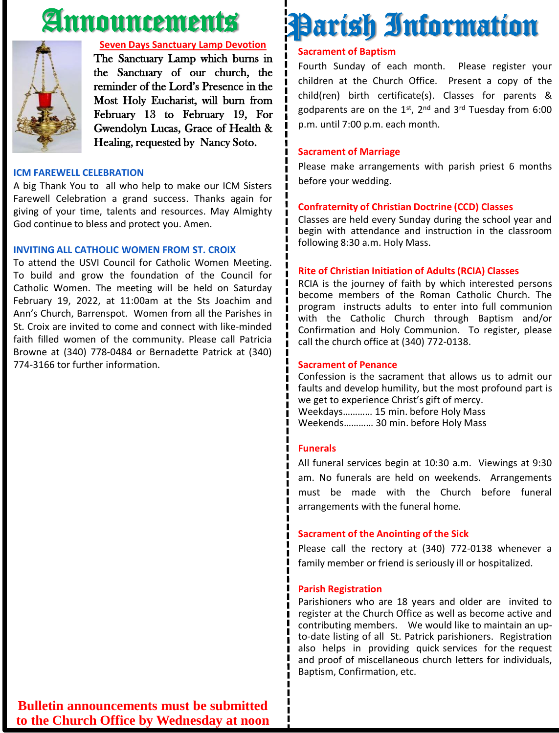## Announcements



#### **Seven Days Sanctuary Lamp Devotion**

The Sanctuary Lamp which burns in the Sanctuary of our church, the reminder of the Lord's Presence in the Most Holy Eucharist, will burn from February 13 to February 19, For Gwendolyn Lucas, Grace of Health & Healing, requested by Nancy Soto.

#### **ICM FAREWELL CELEBRATION**

A big Thank You to all who help to make our ICM Sisters Farewell Celebration a grand success. Thanks again for giving of your time, talents and resources. May Almighty God continue to bless and protect you. Amen.

#### **INVITING ALL CATHOLIC WOMEN FROM ST. CROIX**

To attend the USVI Council for Catholic Women Meeting. To build and grow the foundation of the Council for Catholic Women. The meeting will be held on Saturday February 19, 2022, at 11:00am at the Sts Joachim and Ann's Church, Barrenspot. Women from all the Parishes in St. Croix are invited to come and connect with like-minded faith filled women of the community. Please call Patricia Browne at (340) 778-0484 or Bernadette Patrick at (340) 774-3166 tor further information.

## **Sacrament of Baptism** Parish Information

Fourth Sunday of each month. Please register your children at the Church Office. Present a copy of the child(ren) birth certificate(s). Classes for parents & godparents are on the 1st, 2<sup>nd</sup> and 3<sup>rd</sup> Tuesday from 6:00 p.m. until 7:00 p.m. each month.

#### **Sacrament of Marriage**

Please make arrangements with parish priest 6 months before your wedding.

#### **Confraternity of Christian Doctrine (CCD) Classes**

Classes are held every Sunday during the school year and begin with attendance and instruction in the classroom following 8:30 a.m. Holy Mass.

#### **Rite of Christian Initiation of Adults (RCIA) Classes**

RCIA is the journey of faith by which interested persons become members of the Roman Catholic Church. The program instructs adults to enter into full communion with the Catholic Church through Baptism and/or Confirmation and Holy Communion. To register, please call the church office at (340) 772-0138.

#### **Sacrament of Penance**

Confession is the sacrament that allows us to admit our faults and develop humility, but the most profound part is we get to experience Christ's gift of mercy. Weekdays………… 15 min. before Holy Mass Weekends………… 30 min. before Holy Mass

#### **Funerals**

All funeral services begin at 10:30 a.m. Viewings at 9:30 am. No funerals are held on weekends. Arrangements must be made with the Church before funeral arrangements with the funeral home.

#### **Sacrament of the Anointing of the Sick**

Please call the rectory at (340) 772-0138 whenever a family member or friend is seriously ill or hospitalized.

#### **Parish Registration**

Parishioners who are 18 years and older are invited to register at the Church Office as well as become active and contributing members. We would like to maintain an upto-date listing of all St. Patrick parishioners. Registration also helps in providing quick services for the request and proof of miscellaneous church letters for individuals, Baptism, Confirmation, etc.

**Bulletin announcements must be submitted to the Church Office by Wednesday at noon**